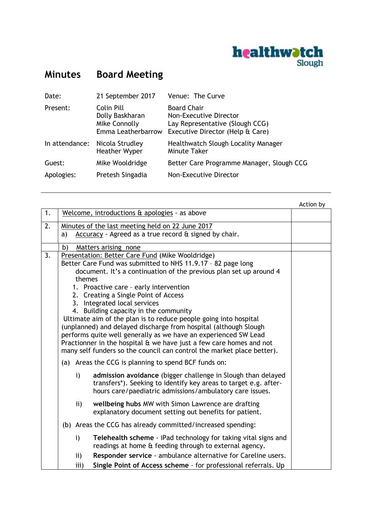

## **Minutes Board Meeting**

| Date:          | 21 September 2017                                                    | Venue: The Curve                                                                                                    |
|----------------|----------------------------------------------------------------------|---------------------------------------------------------------------------------------------------------------------|
| Present:       | Colin Pill<br>Dolly Baskharan<br>Mike Connolly<br>Emma Leatherbarrow | <b>Board Chair</b><br>Non-Executive Director<br>Lay Representative (Slough CCG)<br>Executive Director (Help & Care) |
| In attendance: | Nicola Strudley<br><b>Heather Wyper</b>                              | Healthwatch Slough Locality Manager<br>Minute Taker                                                                 |
| Guest:         | Mike Wooldridge                                                      | Better Care Programme Manager, Slough CCG                                                                           |
| Apologies:     | Pretesh Singadia                                                     | Non-Executive Director                                                                                              |

|                                                                  |                                                                                                                                                                                                                  |              |                                                                  | Action by |
|------------------------------------------------------------------|------------------------------------------------------------------------------------------------------------------------------------------------------------------------------------------------------------------|--------------|------------------------------------------------------------------|-----------|
| 1.                                                               |                                                                                                                                                                                                                  |              | Welcome, introductions & apologies - as above                    |           |
| 2.                                                               | Minutes of the last meeting held on 22 June 2017                                                                                                                                                                 |              |                                                                  |           |
|                                                                  | a)                                                                                                                                                                                                               |              | Accuracy - Agreed as a true record & signed by chair.            |           |
|                                                                  | b)                                                                                                                                                                                                               |              | Matters arising none                                             |           |
| 3.                                                               |                                                                                                                                                                                                                  |              | Presentation: Better Care Fund (Mike Wooldridge)                 |           |
|                                                                  | Better Care Fund was submitted to NHS 11.9.17 - 82 page long                                                                                                                                                     |              |                                                                  |           |
|                                                                  | document. It's a continuation of the previous plan set up around 4<br>themes<br>1. Proactive care - early intervention<br>2. Creating a Single Point of Access<br>3. Integrated local services                   |              |                                                                  |           |
|                                                                  |                                                                                                                                                                                                                  |              |                                                                  |           |
|                                                                  |                                                                                                                                                                                                                  |              |                                                                  |           |
|                                                                  |                                                                                                                                                                                                                  |              |                                                                  |           |
|                                                                  |                                                                                                                                                                                                                  |              | 4. Building capacity in the community                            |           |
| Ultimate aim of the plan is to reduce people going into hospital |                                                                                                                                                                                                                  |              |                                                                  |           |
|                                                                  | (unplanned) and delayed discharge from hospital (although Slough                                                                                                                                                 |              |                                                                  |           |
|                                                                  | performs quite well generally as we have an experienced SW Lead<br>Practionner in the hospital & we have just a few care homes and not<br>many self funders so the council can control the market place better). |              |                                                                  |           |
|                                                                  |                                                                                                                                                                                                                  |              |                                                                  |           |
|                                                                  |                                                                                                                                                                                                                  |              | (a) Areas the CCG is planning to spend BCF funds on:             |           |
|                                                                  |                                                                                                                                                                                                                  |              |                                                                  |           |
|                                                                  |                                                                                                                                                                                                                  | i)           | admission avoidance (bigger challenge in Slough than delayed     |           |
|                                                                  |                                                                                                                                                                                                                  |              | transfers*). Seeking to identify key areas to target e.g. after- |           |
|                                                                  |                                                                                                                                                                                                                  |              | hours care/paediatric admissions/ambulatory care issues.         |           |
|                                                                  |                                                                                                                                                                                                                  | ii)          | wellbeing hubs MW with Simon Lawrence are drafting               |           |
|                                                                  |                                                                                                                                                                                                                  |              | explanatory document setting out benefits for patient.           |           |
|                                                                  |                                                                                                                                                                                                                  |              | (b) Areas the CCG has already committed/increased spending:      |           |
|                                                                  |                                                                                                                                                                                                                  | $\mathbf{i}$ | Telehealth scheme - iPad technology for taking vital signs and   |           |
|                                                                  |                                                                                                                                                                                                                  |              | readings at home & feeding through to external agency.           |           |
|                                                                  |                                                                                                                                                                                                                  | ii)          | Responder service - ambulance alternative for Careline users.    |           |
|                                                                  |                                                                                                                                                                                                                  | iii)         | Single Point of Access scheme - for professional referrals. Up   |           |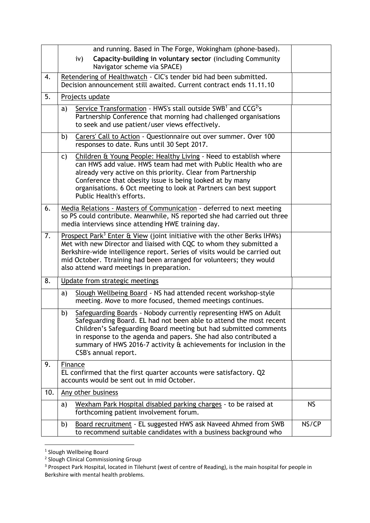|     | and running. Based in The Forge, Wokingham (phone-based).                                                                                                                                                                                                                                                                                                                          |           |  |  |  |
|-----|------------------------------------------------------------------------------------------------------------------------------------------------------------------------------------------------------------------------------------------------------------------------------------------------------------------------------------------------------------------------------------|-----------|--|--|--|
|     | Capacity-building in voluntary sector (including Community<br>iv)<br>Navigator scheme via SPACE)                                                                                                                                                                                                                                                                                   |           |  |  |  |
| 4.  | Retendering of Healthwatch - CIC's tender bid had been submitted.<br>Decision announcement still awaited. Current contract ends 11.11.10                                                                                                                                                                                                                                           |           |  |  |  |
| 5.  | Projects update                                                                                                                                                                                                                                                                                                                                                                    |           |  |  |  |
|     | Service Transformation - HWS's stall outside SWB <sup>1</sup> and CCG <sup>2</sup> 's<br>a)<br>Partnership Conference that morning had challenged organisations<br>to seek and use patient/user views effectively.                                                                                                                                                                 |           |  |  |  |
|     | Carers' Call to Action - Questionnaire out over summer. Over 100<br>b)<br>responses to date. Runs until 30 Sept 2017.                                                                                                                                                                                                                                                              |           |  |  |  |
|     | Children & Young People: Healthy Living - Need to establish where<br>C)<br>can HWS add value. HWS team had met with Public Health who are<br>already very active on this priority. Clear from Partnership<br>Conference that obesity issue is being looked at by many<br>organisations. 6 Oct meeting to look at Partners can best support<br>Public Health's efforts.             |           |  |  |  |
| 6.  | Media Relations - Masters of Communication - deferred to next meeting<br>so PS could contribute. Meanwhile, NS reported she had carried out three<br>media interviews since attending HWE training day.                                                                                                                                                                            |           |  |  |  |
| 7.  | Prospect Park <sup>3</sup> Enter & View (joint initiative with the other Berks lHWs)<br>Met with new Director and liaised with CQC to whom they submitted a<br>Berkshire-wide intelligence report. Series of visits would be carried out<br>mid October. Ttraining had been arranged for volunteers; they would<br>also attend ward meetings in preparation.                       |           |  |  |  |
| 8.  | Update from strategic meetings                                                                                                                                                                                                                                                                                                                                                     |           |  |  |  |
|     | Slough Wellbeing Board - NS had attended recent workshop-style<br>a)<br>meeting. Move to more focused, themed meetings continues.                                                                                                                                                                                                                                                  |           |  |  |  |
|     | Safeguarding Boards - Nobody currently representing HWS on Adult<br>b)<br>Safeguarding Board. EL had not been able to attend the most recent<br>Children's Safeguarding Board meeting but had submitted comments<br>in response to the agenda and papers. She had also contributed a<br>summary of HWS 2016-7 activity & achievements for inclusion in the<br>CSB's annual report. |           |  |  |  |
| 9.  | Finance<br>EL confirmed that the first quarter accounts were satisfactory. Q2<br>accounts would be sent out in mid October.                                                                                                                                                                                                                                                        |           |  |  |  |
| 10. | Any other business                                                                                                                                                                                                                                                                                                                                                                 |           |  |  |  |
|     | Wexham Park Hospital disabled parking charges - to be raised at<br>a)<br>forthcoming patient involvement forum.                                                                                                                                                                                                                                                                    | <b>NS</b> |  |  |  |
|     | Board recruitment - EL suggested HWS ask Naveed Ahmed from SWB<br>b)<br>to recommend suitable candidates with a business background who                                                                                                                                                                                                                                            | NS/CP     |  |  |  |

 1 Slough Wellbeing Board 2 Slough Clinical Commissioning Group

<sup>&</sup>lt;sup>3</sup> Prospect Park Hospital, located in Tilehurst (west of centre of Reading), is the main hospital for people in Berkshire with mental health problems.